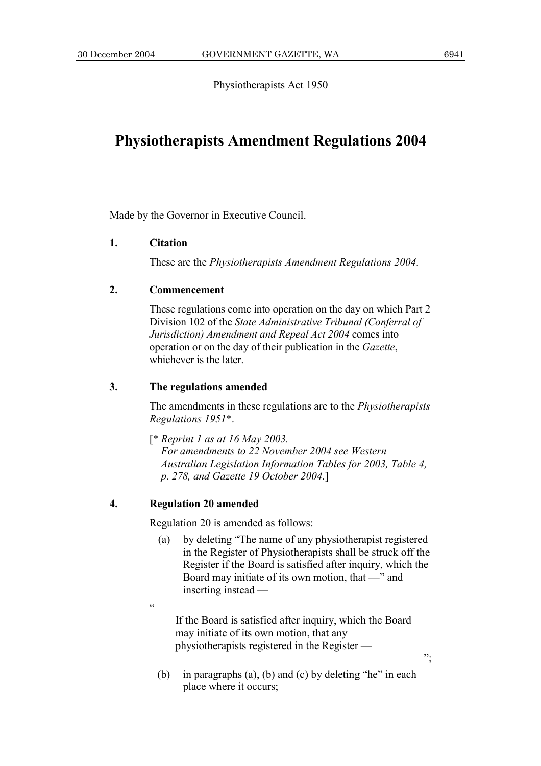Physiotherapists Act 1950

# **Physiotherapists Amendment Regulations 2004**

Made by the Governor in Executive Council.

#### **1. Citation**

These are the *Physiotherapists Amendment Regulations 2004*.

## **2. Commencement**

These regulations come into operation on the day on which Part 2 Division 102 of the *State Administrative Tribunal (Conferral of Jurisdiction) Amendment and Repeal Act 2004* comes into operation or on the day of their publication in the *Gazette*, whichever is the later.

### **3. The regulations amended**

The amendments in these regulations are to the *Physiotherapists Regulations 1951*\*.

[\* *Reprint 1 as at 16 May 2003. For amendments to 22 November 2004 see Western Australian Legislation Information Tables for 2003, Table 4, p. 278, and Gazette 19 October 2004*.]

## **4. Regulation 20 amended**

 $\alpha$ 

Regulation 20 is amended as follows:

(a) by deleting "The name of any physiotherapist registered in the Register of Physiotherapists shall be struck off the Register if the Board is satisfied after inquiry, which the Board may initiate of its own motion, that —" and inserting instead —

If the Board is satisfied after inquiry, which the Board may initiate of its own motion, that any physiotherapists registered in the Register —

";

(b) in paragraphs (a), (b) and (c) by deleting "he" in each place where it occurs;